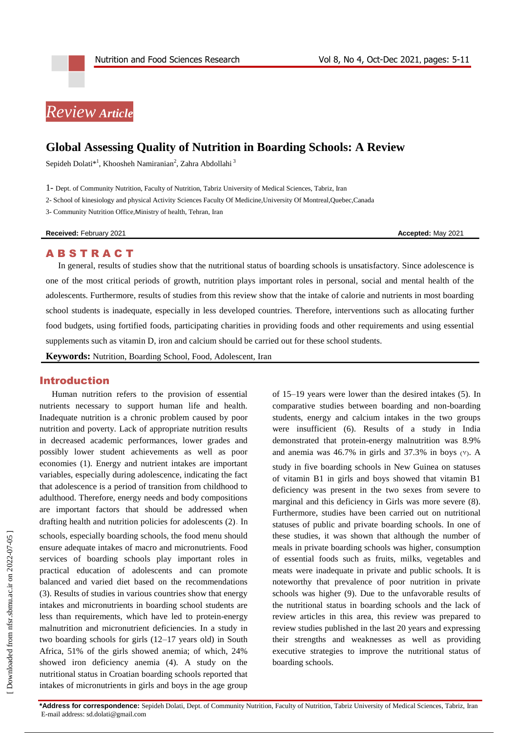# *Review Article*

## **Global Assessing Quality of Nutrition in Boarding Schools: A Review**

Sepideh Dolati $^{*1}$ [, Khoosheh Namiranian](http://nfsr.sbmu.ac.ir/search.php?slc_lang=en&sid=1&auth=namiranian)<sup>2</sup>[, Zahra Abdollahi](http://nfsr.sbmu.ac.ir/search.php?slc_lang=en&sid=1&auth=abdollahi) <sup>3</sup>

1- Dept. of Community Nutrition, Faculty of Nutrition, Tabriz University of Medical Sciences, Tabriz, Iran

2- School of kinesiology and physical Activity Sciences Faculty Of Medicine,University Of Montreal,Quebec,Canada

3- Community Nutrition Office,Ministry of health, Tehran, Iran

**Received: February 2021 Accepted: May 2021 Accepted: May 2021** 

#### **ABSTRACT**

In general, results of studies show that the nutritional status of boarding schools is unsatisfactory. Since adolescence is one of the most critical periods of growth, nutrition plays important roles in personal, social and mental health of the adolescents. Furthermore, results of studies from this review show that the intake of calorie and nutrients in most boarding school students is inadequate, especially in less developed countries. Therefore, interventions such as allocating further food budgets, using fortified foods, participating charities in providing foods and other requirements and using essential supplements such as vitamin D, iron and calcium should be carried out for these school students.

**Keywords:** Nutrition, Boarding School, Food, Adolescent, Iran

### Introduction

Human nutrition refers to the provision of essential nutrients necessary to support human life and health. Inadequate nutrition is a chronic problem caused by poor nutrition and poverty. Lack of appropriate nutrition results in decreased academic performances, lower grades and possibly lower student achievements as well as poor economies (1). Energy and nutrient intakes are important variables, especially during adolescence, indicating the fact that adolescence is a period of transition from childhood to adulthood. Therefore, energy needs and body compositions are important factors that should be addressed when drafting health and nutrition policies for adolescents (2). In schools, especially boarding schools, the food menu should ensure adequate intakes of macro and micronutrients. Food services of boarding schools play important roles in practical education of adolescents and can promote balanced and varied diet based on the recommendations (3). Results of studies in various countries show that energy intakes and micronutrients in boarding school students are less than requirements, which have led to protein-energy malnutrition and micronutrient deficiencies. In a study in two boarding schools for girls (12–17 years old) in South Africa, 51% of the girls showed anemia; of which, 24% showed iron deficiency anemia (4). A study on the nutritional status in Croatian boarding schools reported that intakes of micronutrients in girls and boys in the age group of 15–19 years were lower than the desired intakes (5). In comparative studies between boarding and non-boarding students, energy and calcium intakes in the two groups were insufficient (6). Results of a study in India demonstrated that protein-energy malnutrition was 8.9% and anemia was  $46.7\%$  in girls and  $37.3\%$  in boys (Y). A study in five boarding schools in New Guinea on statuses of vitamin B1 in girls and boys showed that vitamin B1 deficiency was present in the two sexes from severe to marginal and this deficiency in Girls was more severe (8). Furthermore, studies have been carried out on nutritional statuses of public and private boarding schools. In one of these studies, it was shown that although the number of meals in private boarding schools was higher, consumption of essential foods such as fruits, milks, vegetables and meats were inadequate in private and public schools. It is noteworthy that prevalence of poor nutrition in private schools was higher (9). Due to the unfavorable results of the nutritional status in boarding schools and the lack of review articles in this area, this review was prepared to review studies published in the last 20 years and expressing their strengths and weaknesses as well as providing executive strategies to improve the nutritional status of boarding schools.

**\*Address for correspondence:** Sepideh Dolati, Dept. of Community Nutrition, Faculty of Nutrition, Tabriz University of Medical Sciences, Tabriz, Iran E-mail address[: sd.dolati@gmail.com](mailto:sd.dolati@gmail.com)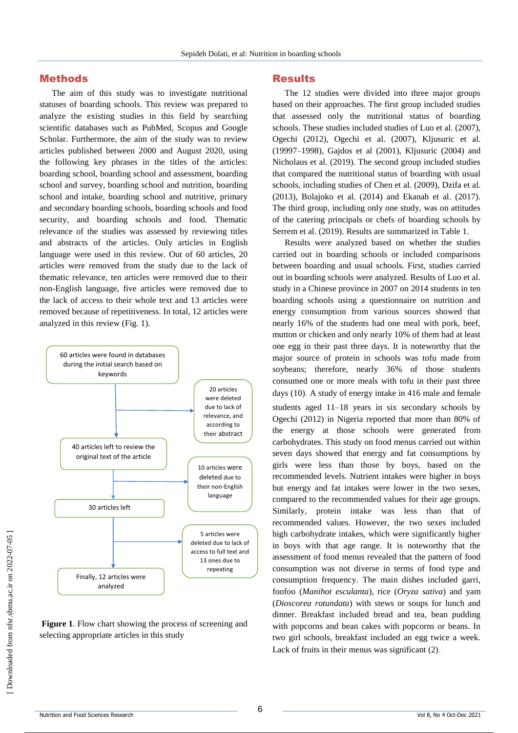#### Methods

The aim of this study was to investigate nutritional statuses of boarding schools. This review was prepared to analyze the existing studies in this field by searching scientific databases such as PubMed, Scopus and Google Scholar. Furthermore, the aim of the study was to review articles published between 2000 and August 2020, using the following key phrases in the titles of the articles: boarding school, boarding school and assessment, boarding school and survey, boarding school and nutrition, boarding school and intake, boarding school and nutritive, primary and secondary boarding schools, boarding schools and food security, and boarding schools and food. Thematic relevance of the studies was assessed by reviewing titles and abstracts of the articles. Only articles in English language were used in this review. Out of 60 articles, 20 articles were removed from the study due to the lack of thematic relevance, ten articles were removed due to their non-English language, five articles were removed due to the lack of access to their whole text and 13 articles were removed because of repetitiveness. In total, 12 articles were analyzed in this review (Fig. 1).



**Figure 1**. Flow chart showing the process of screening and selecting appropriate articles in this study

#### Results

The 12 studies were divided into three major groups based on their approaches. The first group included studies that assessed only the nutritional status of boarding schools. These studies included studies of Luo et al. (2007), Ogechi (2012), Ogechi et al. (2007), Kljusuric et al. (19997–1998), Gajdos et al (2001), Kljusuric (2004) and Nicholaus et al. (2019). The second group included studies that compared the nutritional status of boarding with usual schools, including studies of Chen et al. (2009), Dzifa et al. (2013), Bolajoko et al. (2014) and Ekanah et al. (2017). The third group, including only one study, was on attitudes of the catering principals or chefs of boarding schools by Serrem et al. (2019). Results are summarized in Table 1.

Results were analyzed based on whether the studies carried out in boarding schools or included comparisons between boarding and usual schools. First, studies carried out in boarding schools were analyzed. Results of Luo et al. study in a Chinese province in 2007 on 2014 students in ten boarding schools using a questionnaire on nutrition and energy consumption from various sources showed that nearly 16% of the students had one meal with pork, beef, mutton or chicken and only nearly 10% of them had at least one egg in their past three days. It is noteworthy that the major source of protein in schools was tofu made from soybeans; therefore, nearly 36% of those students consumed one or more meals with tofu in their past three days (10). A study of energy intake in 416 male and female

students aged 11–18 years in six secondary schools by Ogechi (2012) in Nigeria reported that more than 80% of the energy at those schools were generated from carbohydrates. This study on food menus carried out within seven days showed that energy and fat consumptions by girls were less than those by boys, based on the recommended levels. Nutrient intakes were higher in boys but energy and fat intakes were lower in the two sexes, compared to the recommended values for their age groups. Similarly, protein intake was less than that of recommended values. However, the two sexes included high carbohydrate intakes, which were significantly higher in boys with that age range. It is noteworthy that the assessment of food menus revealed that the pattern of food consumption was not diverse in terms of food type and consumption frequency. The main dishes included garri, foofoo (*Manihot esculanta*), rice (*Oryza sativa*) and yam (*Dioscorea rotundata*) with stews or soups for lunch and dinner. Breakfast included bread and tea, bean pudding with popcorns and bean cakes with popcorns or beans. In two girl schools, breakfast included an egg twice a week. Lack of fruits in their menus was significant (2).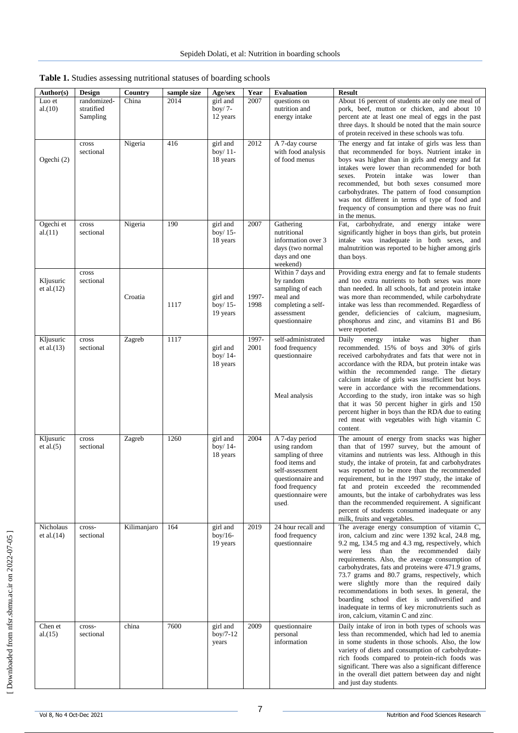| Author(s)                  | Design                                | Country     | sample size | Age/sex                            | Year          | <b>Evaluation</b>                                                                                                                                              | <b>Result</b>                                                                                                                                                                                                                                                                                                                                                                                                                                                                                                                                                                                 |
|----------------------------|---------------------------------------|-------------|-------------|------------------------------------|---------------|----------------------------------------------------------------------------------------------------------------------------------------------------------------|-----------------------------------------------------------------------------------------------------------------------------------------------------------------------------------------------------------------------------------------------------------------------------------------------------------------------------------------------------------------------------------------------------------------------------------------------------------------------------------------------------------------------------------------------------------------------------------------------|
| Luo et<br>al.(10)          | randomized-<br>stratified<br>Sampling | China       | 2014        | girl and<br>boy/ $7-$<br>12 years  | 2007          | questions on<br>nutrition and<br>energy intake                                                                                                                 | About 16 percent of students ate only one meal of<br>pork, beef, mutton or chicken, and about 10<br>percent ate at least one meal of eggs in the past<br>three days. It should be noted that the main source<br>of protein received in these schools was tofu.                                                                                                                                                                                                                                                                                                                                |
| Ogechi (2)                 | cross<br>sectional                    | Nigeria     | 416         | girl and<br>boy/ 11-<br>18 years   | 2012          | A 7-day course<br>with food analysis<br>of food menus                                                                                                          | The energy and fat intake of girls was less than<br>that recommended for boys. Nutrient intake in<br>boys was higher than in girls and energy and fat<br>intakes were lower than recommended for both<br>Protein<br>intake<br>was<br>lower<br>sexes.<br>than<br>recommended, but both sexes consumed more<br>carbohydrates. The pattern of food consumption<br>was not different in terms of type of food and<br>frequency of consumption and there was no fruit<br>in the menus.                                                                                                             |
| Ogechi et<br>al.(11)       | cross<br>sectional                    | Nigeria     | 190         | girl and<br>boy/ $15-$<br>18 years | 2007          | Gathering<br>nutritional<br>information over 3<br>days (two normal<br>days and one<br>weekend)                                                                 | Fat, carbohydrate, and energy intake were<br>significantly higher in boys than girls, but protein<br>intake was inadequate in both sexes, and<br>malnutrition was reported to be higher among girls<br>than boys.                                                                                                                                                                                                                                                                                                                                                                             |
| Kljusuric<br>et al. $(12)$ | cross<br>sectional                    | Croatia     | 1117        | girl and<br>boy/ $15-$<br>19 years | 1997-<br>1998 | Within 7 days and<br>by random<br>sampling of each<br>meal and<br>completing a self-<br>assessment<br>questionnaire                                            | Providing extra energy and fat to female students<br>and too extra nutrients to both sexes was more<br>than needed. In all schools, fat and protein intake<br>was more than recommended, while carbohydrate<br>intake was less than recommended. Regardless of<br>gender, deficiencies of calcium, magnesium,<br>phosphorus and zinc, and vitamins B1 and B6<br>were reported.                                                                                                                                                                                                                |
| Kljusuric<br>et al. $(13)$ | cross<br>sectional                    | Zagreb      | 1117        | girl and<br>boy/ 14-<br>18 years   | 1997-<br>2001 | self-administrated<br>food frequency<br>questionnaire<br>Meal analysis                                                                                         | energy<br>intake<br>higher<br>Daily<br>was<br>than<br>recommended. 15% of boys and 30% of girls<br>received carbohydrates and fats that were not in<br>accordance with the RDA, but protein intake was<br>within the recommended range. The dietary<br>calcium intake of girls was insufficient but boys<br>were in accordance with the recommendations.<br>According to the study, iron intake was so high<br>that it was 50 percent higher in girls and 150<br>percent higher in boys than the RDA due to eating<br>red meat with vegetables with high vitamin C<br>content.                |
| Kljusuric<br>et al. $(5)$  | cross<br>sectional                    | Zagreb      | 1260        | girl and<br>boy/ 14-<br>18 years   | 2004          | A 7-day period<br>using random<br>sampling of three<br>food items and<br>self-assessment<br>questionnaire and<br>food frequency<br>questionnaire were<br>used. | The amount of energy from snacks was higher<br>than that of 1997 survey, but the amount of<br>vitamins and nutrients was less. Although in this<br>study, the intake of protein, fat and carbohydrates<br>was reported to be more than the recommended<br>requirement, but in the 1997 study, the intake of<br>fat and protein exceeded the recommended<br>amounts, but the intake of carbohydrates was less<br>than the recommended requirement. A significant<br>percent of students consumed inadequate or any<br>milk, fruits and vegetables.                                             |
| Nicholaus<br>et al. $(14)$ | cross-<br>sectional                   | Kilimanjaro | 164         | girl and<br>$boy/16-$<br>19 years  | 2019          | 24 hour recall and<br>food frequency<br>questionnaire                                                                                                          | The average energy consumption of vitamin C,<br>iron, calcium and zinc were 1392 kcal, 24.8 mg,<br>9.2 mg, 134.5 mg and 4.3 mg, respectively, which<br>were less than the recommended daily<br>requirements. Also, the average consumption of<br>carbohydrates, fats and proteins were 471.9 grams,<br>73.7 grams and 80.7 grams, respectively, which<br>were slightly more than the required daily<br>recommendations in both sexes. In general, the<br>boarding school diet is undiversified and<br>inadequate in terms of key micronutrients such as<br>iron, calcium, vitamin C and zinc. |
| Chen et<br>al.(15)         | cross-<br>sectional                   | china       | 7600        | girl and<br>$boy/7-12$<br>years    | 2009          | questionnaire<br>personal<br>information                                                                                                                       | Daily intake of iron in both types of schools was<br>less than recommended, which had led to anemia<br>in some students in those schools. Also, the low<br>variety of diets and consumption of carbohydrate-<br>rich foods compared to protein-rich foods was<br>significant. There was also a significant difference<br>in the overall diet pattern between day and night<br>and just day students.                                                                                                                                                                                          |

| Table 1. Studies assessing nutritional statuses of boarding schools |  |  |  |  |  |
|---------------------------------------------------------------------|--|--|--|--|--|
|---------------------------------------------------------------------|--|--|--|--|--|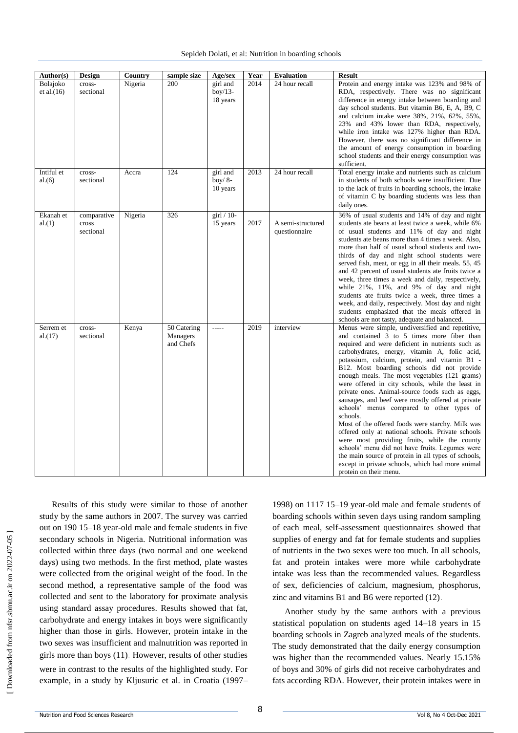| Author(s)                 | Design                            | Country | sample size                          | Age/sex                           | Year | <b>Evaluation</b>                  | <b>Result</b>                                                                                                                                                                                                                                                                                                                                                                                                                                                                                                                                                                                                                                                                                                                                                                                                                                                                                                             |
|---------------------------|-----------------------------------|---------|--------------------------------------|-----------------------------------|------|------------------------------------|---------------------------------------------------------------------------------------------------------------------------------------------------------------------------------------------------------------------------------------------------------------------------------------------------------------------------------------------------------------------------------------------------------------------------------------------------------------------------------------------------------------------------------------------------------------------------------------------------------------------------------------------------------------------------------------------------------------------------------------------------------------------------------------------------------------------------------------------------------------------------------------------------------------------------|
| Bolajoko<br>et al. $(16)$ | cross-<br>sectional               | Nigeria | 200                                  | girl and<br>$box/13-$<br>18 years | 2014 | 24 hour recall                     | Protein and energy intake was 123% and 98% of<br>RDA, respectively. There was no significant<br>difference in energy intake between boarding and<br>day school students. But vitamin B6, E, A, B9, C<br>and calcium intake were 38%, 21%, 62%, 55%,<br>23% and 43% lower than RDA, respectively,<br>while iron intake was 127% higher than RDA.<br>However, there was no significant difference in<br>the amount of energy consumption in boarding<br>school students and their energy consumption was<br>sufficient.                                                                                                                                                                                                                                                                                                                                                                                                     |
| Intiful et<br>al.(6)      | cross-<br>sectional               | Accra   | 124                                  | girl and<br>boy/ $8-$<br>10 years | 2013 | 24 hour recall                     | Total energy intake and nutrients such as calcium<br>in students of both schools were insufficient. Due<br>to the lack of fruits in boarding schools, the intake<br>of vitamin C by boarding students was less than<br>daily ones.                                                                                                                                                                                                                                                                                                                                                                                                                                                                                                                                                                                                                                                                                        |
| Ekanah et<br>al.(1)       | comparative<br>cross<br>sectional | Nigeria | 326                                  | $\pi$ 10-<br>15 years             | 2017 | A semi-structured<br>questionnaire | 36% of usual students and 14% of day and night<br>students ate beans at least twice a week, while 6%<br>of usual students and 11% of day and night<br>students ate beans more than 4 times a week. Also,<br>more than half of usual school students and two-<br>thirds of day and night school students were<br>served fish, meat, or egg in all their meals. 55, 45<br>and 42 percent of usual students ate fruits twice a<br>week, three times a week and daily, respectively,<br>while $21\%$ , $11\%$ , and $9\%$ of day and night<br>students ate fruits twice a week, three times a<br>week, and daily, respectively. Most day and night<br>students emphasized that the meals offered in<br>schools are not tasty, adequate and balanced.                                                                                                                                                                          |
| Serrem et<br>al.(17)      | cross-<br>sectional               | Kenya   | 50 Catering<br>Managers<br>and Chefs | -----                             | 2019 | interview                          | Menus were simple, undiversified and repetitive,<br>and contained 3 to 5 times more fiber than<br>required and were deficient in nutrients such as<br>carbohydrates, energy, vitamin A, folic acid,<br>potassium, calcium, protein, and vitamin B1 -<br>B12. Most boarding schools did not provide<br>enough meals. The most vegetables (121 grams)<br>were offered in city schools, while the least in<br>private ones. Animal-source foods such as eggs,<br>sausages, and beef were mostly offered at private<br>schools' menus compared to other types of<br>schools.<br>Most of the offered foods were starchy. Milk was<br>offered only at national schools. Private schools<br>were most providing fruits, while the county<br>schools' menu did not have fruits. Legumes were<br>the main source of protein in all types of schools,<br>except in private schools, which had more animal<br>protein on their menu. |

 [\[ Downloaded from nfsr.sbmu.ac.ir on 202](http://nfsr.sbmu.ac.ir/article-1-480-fa.html)2-07-05 ] Downloaded from nfsr.sbmu.ac.ir on 2022-07-05

Results of this study were similar to those of another study by the same authors in 2007. The survey was carried out on 190 15–18 year-old male and female students in five secondary schools in Nigeria. Nutritional information was collected within three days (two normal and one weekend days) using two methods. In the first method, plate wastes were collected from the original weight of the food. In the second method, a representative sample of the food was collected and sent to the laboratory for proximate analysis using standard assay procedures. Results showed that fat, carbohydrate and energy intakes in boys were significantly higher than those in girls. However, protein intake in the two sexes was insufficient and malnutrition was reported in girls more than boys (11). However, results of other studies were in contrast to the results of the highlighted study. For example, in a study by Kljusuric et al. in Croatia (1997–

1998) on 1117 15–19 year-old male and female students of boarding schools within seven days using random sampling of each meal, self-assessment questionnaires showed that supplies of energy and fat for female students and supplies of nutrients in the two sexes were too much. In all schools, fat and protein intakes were more while carbohydrate intake was less than the recommended values. Regardless of sex, deficiencies of calcium, magnesium, phosphorus, zinc and vitamins B1 and B6 were reported (12).

Another study by the same authors with a previous statistical population on students aged 14–18 years in 15 boarding schools in Zagreb analyzed meals of the students. The study demonstrated that the daily energy consumption was higher than the recommended values. Nearly 15.15% of boys and 30% of girls did not receive carbohydrates and fats according RDA. However, their protein intakes were in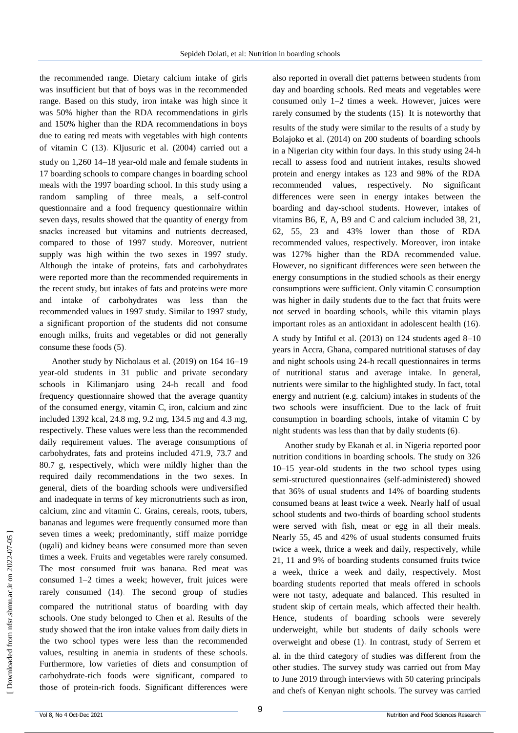the recommended range. Dietary calcium intake of girls was insufficient but that of boys was in the recommended range. Based on this study, iron intake was high since it was 50% higher than the RDA recommendations in girls and 150% higher than the RDA recommendations in boys due to eating red meats with vegetables with high contents of vitamin C (13). Kljusuric et al. (2004) carried out a study on 1,260 14–18 year-old male and female students in 17 boarding schools to compare changes in boarding school meals with the 1997 boarding school. In this study using a random sampling of three meals, a self-control questionnaire and a food frequency questionnaire within seven days, results showed that the quantity of energy from snacks increased but vitamins and nutrients decreased, compared to those of 1997 study. Moreover, nutrient supply was high within the two sexes in 1997 study. Although the intake of proteins, fats and carbohydrates were reported more than the recommended requirements in the recent study, but intakes of fats and proteins were more and intake of carbohydrates was less than the recommended values in 1997 study. Similar to 1997 study, a significant proportion of the students did not consume enough milks, fruits and vegetables or did not generally consume these foods (5).

Another study by Nicholaus et al. (2019) on 164 16–19 year-old students in 31 public and private secondary schools in Kilimanjaro using 24-h recall and food frequency questionnaire showed that the average quantity of the consumed energy, vitamin C, iron, calcium and zinc included 1392 kcal, 24.8 mg, 9.2 mg, 134.5 mg and 4.3 mg, respectively. These values were less than the recommended daily requirement values. The average consumptions of carbohydrates, fats and proteins included 471.9, 73.7 and 80.7 g, respectively, which were mildly higher than the required daily recommendations in the two sexes. In general, diets of the boarding schools were undiversified and inadequate in terms of key micronutrients such as iron, calcium, zinc and vitamin C. Grains, cereals, roots, tubers, bananas and legumes were frequently consumed more than seven times a week; predominantly, stiff maize porridge (ugali) and kidney beans were consumed more than seven times a week. Fruits and vegetables were rarely consumed. The most consumed fruit was banana. Red meat was consumed 1–2 times a week; however, fruit juices were rarely consumed (14). The second group of studies compared the nutritional status of boarding with day schools. One study belonged to Chen et al. Results of the study showed that the iron intake values from daily diets in the two school types were less than the recommended values, resulting in anemia in students of these schools. Furthermore, low varieties of diets and consumption of carbohydrate-rich foods were significant, compared to those of protein-rich foods. Significant differences were also reported in overall diet patterns between students from day and boarding schools. Red meats and vegetables were consumed only 1–2 times a week. However, juices were rarely consumed by the students (15). It is noteworthy that results of the study were similar to the results of a study by Bolajoko et al. (2014) on 200 students of boarding schools in a Nigerian city within four days. In this study using 24-h recall to assess food and nutrient intakes, results showed protein and energy intakes as 123 and 98% of the RDA recommended values, respectively. No significant differences were seen in energy intakes between the boarding and day-school students. However, intakes of vitamins B6, E, A, B9 and C and calcium included 38, 21, 62, 55, 23 and 43% lower than those of RDA recommended values, respectively. Moreover, iron intake was 127% higher than the RDA recommended value. However, no significant differences were seen between the energy consumptions in the studied schools as their energy consumptions were sufficient. Only vitamin C consumption was higher in daily students due to the fact that fruits were not served in boarding schools, while this vitamin plays important roles as an antioxidant in adolescent health (16).

A study by Intiful et al. (2013) on 124 students aged 8–10 years in Accra, Ghana, compared nutritional statuses of day and night schools using 24-h recall questionnaires in terms of nutritional status and average intake. In general, nutrients were similar to the highlighted study. In fact, total energy and nutrient (e.g. calcium) intakes in students of the two schools were insufficient. Due to the lack of fruit consumption in boarding schools, intake of vitamin C by night students was less than that by daily students (6).

Another study by Ekanah et al. in Nigeria reported poor nutrition conditions in boarding schools. The study on 326 10–15 year-old students in the two school types using semi-structured questionnaires (self-administered) showed that 36% of usual students and 14% of boarding students consumed beans at least twice a week. Nearly half of usual school students and two-thirds of boarding school students were served with fish, meat or egg in all their meals. Nearly 55, 45 and 42% of usual students consumed fruits twice a week, thrice a week and daily, respectively, while 21, 11 and 9% of boarding students consumed fruits twice a week, thrice a week and daily, respectively. Most boarding students reported that meals offered in schools were not tasty, adequate and balanced. This resulted in student skip of certain meals, which affected their health. Hence, students of boarding schools were severely underweight, while but students of daily schools were overweight and obese (1). In contrast, study of Serrem et al. in the third category of studies was different from the other studies. The survey study was carried out from May to June 2019 through interviews with 50 catering principals and chefs of Kenyan night schools. The survey was carried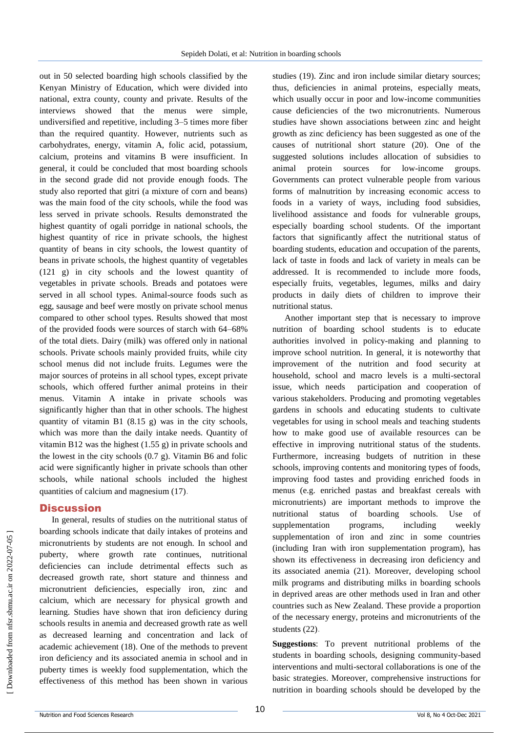out in 50 selected boarding high schools classified by the Kenyan Ministry of Education, which were divided into national, extra county, county and private. Results of the interviews showed that the menus were simple, undiversified and repetitive, including 3–5 times more fiber than the required quantity. However, nutrients such as carbohydrates, energy, vitamin A, folic acid, potassium, calcium, proteins and vitamins B were insufficient. In general, it could be concluded that most boarding schools in the second grade did not provide enough foods. The study also reported that gitri (a mixture of corn and beans) was the main food of the city schools, while the food was less served in private schools. Results demonstrated the highest quantity of ogali porridge in national schools, the highest quantity of rice in private schools, the highest quantity of beans in city schools, the lowest quantity of beans in private schools, the highest quantity of vegetables (121 g) in city schools and the lowest quantity of vegetables in private schools. Breads and potatoes were served in all school types. Animal-source foods such as egg, sausage and beef were mostly on private school menus compared to other school types. Results showed that most of the provided foods were sources of starch with 64–68% of the total diets. Dairy (milk) was offered only in national schools. Private schools mainly provided fruits, while city school menus did not include fruits. Legumes were the major sources of proteins in all school types, except private schools, which offered further animal proteins in their menus. Vitamin A intake in private schools was significantly higher than that in other schools. The highest quantity of vitamin B1 (8.15 g) was in the city schools, which was more than the daily intake needs. Quantity of vitamin B12 was the highest  $(1.55 g)$  in private schools and the lowest in the city schools (0.7 g). Vitamin B6 and folic acid were significantly higher in private schools than other schools, while national schools included the highest quantities of calcium and magnesium (17).

#### **Discussion**

In general, results of studies on the nutritional status of boarding schools indicate that daily intakes of proteins and micronutrients by students are not enough. In school and puberty, where growth rate continues, nutritional deficiencies can include detrimental effects such as decreased growth rate, short stature and thinness and micronutrient deficiencies, especially iron, zinc and calcium, which are necessary for physical growth and learning. Studies have shown that iron deficiency during schools results in anemia and decreased growth rate as well as decreased learning and concentration and lack of academic achievement (18). One of the methods to prevent iron deficiency and its associated anemia in school and in puberty times is weekly food supplementation, which the effectiveness of this method has been shown in various

studies (19). Zinc and iron include similar dietary sources; thus, deficiencies in animal proteins, especially meats, which usually occur in poor and low-income communities cause deficiencies of the two micronutrients. Numerous studies have shown associations between zinc and height growth as zinc deficiency has been suggested as one of the causes of nutritional short stature (20). One of the suggested solutions includes allocation of subsidies to animal protein sources for low-income groups. Governments can protect vulnerable people from various forms of malnutrition by increasing economic access to foods in a variety of ways, including food subsidies, livelihood assistance and foods for vulnerable groups, especially boarding school students. Of the important factors that significantly affect the nutritional status of boarding students, education and occupation of the parents, lack of taste in foods and lack of variety in meals can be addressed. It is recommended to include more foods, especially fruits, vegetables, legumes, milks and dairy products in daily diets of children to improve their nutritional status.

Another important step that is necessary to improve nutrition of boarding school students is to educate authorities involved in policy-making and planning to improve school nutrition. In general, it is noteworthy that improvement of the nutrition and food security at household, school and macro levels is a multi-sectoral issue, which needs participation and cooperation of various stakeholders. Producing and promoting vegetables gardens in schools and educating students to cultivate vegetables for using in school meals and teaching students how to make good use of available resources can be effective in improving nutritional status of the students. Furthermore, increasing budgets of nutrition in these schools, improving contents and monitoring types of foods, improving food tastes and providing enriched foods in menus (e.g. enriched pastas and breakfast cereals with micronutrients) are important methods to improve the nutritional status of boarding schools. Use of supplementation programs, including weekly supplementation of iron and zinc in some countries (including Iran with iron supplementation program), has shown its effectiveness in decreasing iron deficiency and its associated anemia (21). Moreover, developing school milk programs and distributing milks in boarding schools in deprived areas are other methods used in Iran and other countries such as New Zealand. These provide a proportion of the necessary energy, proteins and micronutrients of the students (22).

**Suggestions**: To prevent nutritional problems of the students in boarding schools, designing community-based interventions and multi-sectoral collaborations is one of the basic strategies. Moreover, comprehensive instructions for nutrition in boarding schools should be developed by the